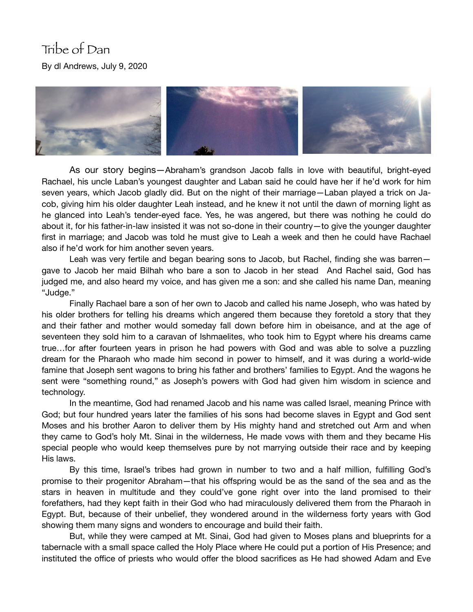## Tribe of Dan By dl Andrews, July 9, 2020



As our story begins—Abraham's grandson Jacob falls in love with beautiful, bright-eyed Rachael, his uncle Laban's youngest daughter and Laban said he could have her if he'd work for him seven years, which Jacob gladly did. But on the night of their marriage—Laban played a trick on Jacob, giving him his older daughter Leah instead, and he knew it not until the dawn of morning light as he glanced into Leah's tender-eyed face. Yes, he was angered, but there was nothing he could do about it, for his father-in-law insisted it was not so-done in their country—to give the younger daughter first in marriage; and Jacob was told he must give to Leah a week and then he could have Rachael also if he'd work for him another seven years.

Leah was very fertile and began bearing sons to Jacob, but Rachel, finding she was barren gave to Jacob her maid Bilhah who bare a son to Jacob in her stead And Rachel said, God has judged me, and also heard my voice, and has given me a son: and she called his name Dan, meaning "Judge."

Finally Rachael bare a son of her own to Jacob and called his name Joseph, who was hated by his older brothers for telling his dreams which angered them because they foretold a story that they and their father and mother would someday fall down before him in obeisance, and at the age of seventeen they sold him to a caravan of Ishmaelites, who took him to Egypt where his dreams came true…for after fourteen years in prison he had powers with God and was able to solve a puzzling dream for the Pharaoh who made him second in power to himself, and it was during a world-wide famine that Joseph sent wagons to bring his father and brothers' families to Egypt. And the wagons he sent were "something round," as Joseph's powers with God had given him wisdom in science and technology.

In the meantime, God had renamed Jacob and his name was called Israel, meaning Prince with God; but four hundred years later the families of his sons had become slaves in Egypt and God sent Moses and his brother Aaron to deliver them by His mighty hand and stretched out Arm and when they came to God's holy Mt. Sinai in the wilderness, He made vows with them and they became His special people who would keep themselves pure by not marrying outside their race and by keeping His laws.

By this time, Israel's tribes had grown in number to two and a half million, fulfilling God's promise to their progenitor Abraham—that his offspring would be as the sand of the sea and as the stars in heaven in multitude and they could've gone right over into the land promised to their forefathers, had they kept faith in their God who had miraculously delivered them from the Pharaoh in Egypt. But, because of their unbelief, they wondered around in the wilderness forty years with God showing them many signs and wonders to encourage and build their faith.

But, while they were camped at Mt. Sinai, God had given to Moses plans and blueprints for a tabernacle with a small space called the Holy Place where He could put a portion of His Presence; and instituted the office of priests who would offer the blood sacrifices as He had showed Adam and Eve